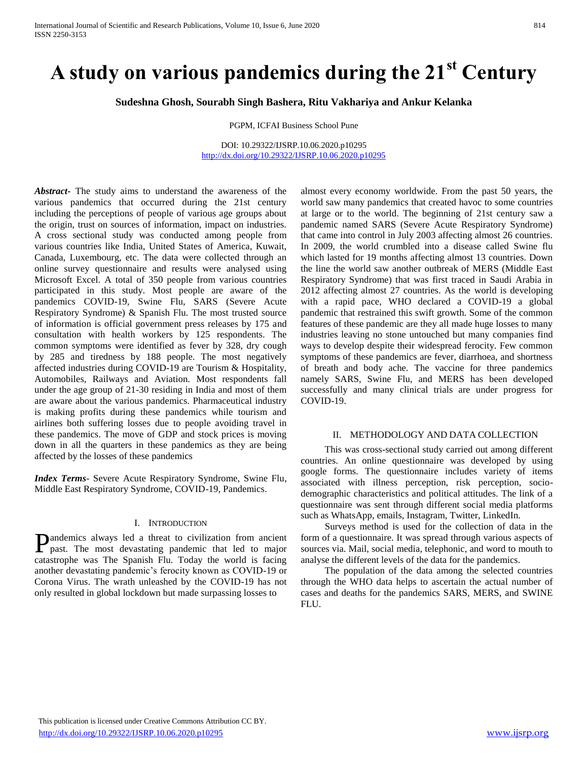# **A study on various pandemics during the 21st Century**

**Sudeshna Ghosh, Sourabh Singh Bashera, Ritu Vakhariya and Ankur Kelanka**

PGPM, ICFAI Business School Pune

DOI: 10.29322/IJSRP.10.06.2020.p10295 <http://dx.doi.org/10.29322/IJSRP.10.06.2020.p10295>

*Abstract***-** The study aims to understand the awareness of the various pandemics that occurred during the 21st century including the perceptions of people of various age groups about the origin, trust on sources of information, impact on industries. A cross sectional study was conducted among people from various countries like India, United States of America, Kuwait, Canada, Luxembourg, etc. The data were collected through an online survey questionnaire and results were analysed using Microsoft Excel. A total of 350 people from various countries participated in this study. Most people are aware of the pandemics COVID-19, Swine Flu, SARS (Severe Acute Respiratory Syndrome) & Spanish Flu. The most trusted source of information is official government press releases by 175 and consultation with health workers by 125 respondents. The common symptoms were identified as fever by 328, dry cough by 285 and tiredness by 188 people. The most negatively affected industries during COVID-19 are Tourism & Hospitality, Automobiles, Railways and Aviation. Most respondents fall under the age group of 21-30 residing in India and most of them are aware about the various pandemics. Pharmaceutical industry is making profits during these pandemics while tourism and airlines both suffering losses due to people avoiding travel in these pandemics. The move of GDP and stock prices is moving down in all the quarters in these pandemics as they are being affected by the losses of these pandemics

*Index Terms*- Severe Acute Respiratory Syndrome, Swine Flu, Middle East Respiratory Syndrome, COVID-19, Pandemics.

#### I. INTRODUCTION

andemics always led a threat to civilization from ancient **Pandemics** always led a threat to civilization from ancient past. The most devastating pandemic that led to major catastrophe was The Spanish Flu. Today the world is facing another devastating pandemic's ferocity known as COVID-19 or Corona Virus. The wrath unleashed by the COVID-19 has not only resulted in global lockdown but made surpassing losses to

almost every economy worldwide. From the past 50 years, the world saw many pandemics that created havoc to some countries at large or to the world. The beginning of 21st century saw a pandemic named SARS (Severe Acute Respiratory Syndrome) that came into control in July 2003 affecting almost 26 countries. In 2009, the world crumbled into a disease called Swine flu which lasted for 19 months affecting almost 13 countries. Down the line the world saw another outbreak of MERS (Middle East Respiratory Syndrome) that was first traced in Saudi Arabia in 2012 affecting almost 27 countries. As the world is developing with a rapid pace, WHO declared a COVID-19 a global pandemic that restrained this swift growth. Some of the common features of these pandemic are they all made huge losses to many industries leaving no stone untouched but many companies find ways to develop despite their widespread ferocity. Few common symptoms of these pandemics are fever, diarrhoea, and shortness of breath and body ache. The vaccine for three pandemics namely SARS, Swine Flu, and MERS has been developed successfully and many clinical trials are under progress for COVID-19.

#### II. METHODOLOGY AND DATA COLLECTION

 This was cross-sectional study carried out among different countries. An online questionnaire was developed by using google forms. The questionnaire includes variety of items associated with illness perception, risk perception, sociodemographic characteristics and political attitudes. The link of a questionnaire was sent through different social media platforms such as WhatsApp, emails, Instagram, Twitter, LinkedIn.

 Surveys method is used for the collection of data in the form of a questionnaire. It was spread through various aspects of sources via. Mail, social media, telephonic, and word to mouth to analyse the different levels of the data for the pandemics.

 The population of the data among the selected countries through the WHO data helps to ascertain the actual number of cases and deaths for the pandemics SARS, MERS, and SWINE FLU.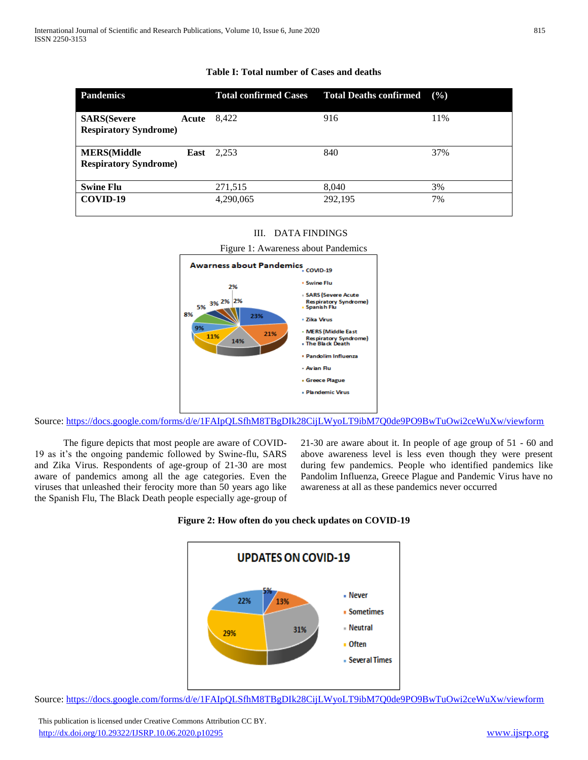| <b>Pandemics</b>                                    |       | <b>Total confirmed Cases</b> | <b>Total Deaths confirmed</b> | $($ %) |
|-----------------------------------------------------|-------|------------------------------|-------------------------------|--------|
| <b>SARS</b> (Severe<br><b>Respiratory Syndrome)</b> | Acute | 8,422                        | 916                           | 11%    |
| <b>MERS</b> (Middle<br><b>Respiratory Syndrome)</b> | East  | 2,253                        | 840                           | 37%    |
| <b>Swine Flu</b>                                    |       | 271,515                      | 8.040                         | 3%     |
| COVID-19                                            |       | 4,290,065                    | 292,195                       | 7%     |

# **Table I: Total number of Cases and deaths**

# III. DATA FINDINGS





Source:<https://docs.google.com/forms/d/e/1FAIpQLSfhM8TBgDIk28CijLWyoLT9ibM7Q0de9PO9BwTuOwi2ceWuXw/viewform>

 The figure depicts that most people are aware of COVID-19 as it's the ongoing pandemic followed by Swine-flu, SARS and Zika Virus. Respondents of age-group of 21-30 are most aware of pandemics among all the age categories. Even the viruses that unleashed their ferocity more than 50 years ago like the Spanish Flu, The Black Death people especially age-group of 21-30 are aware about it. In people of age group of 51 - 60 and above awareness level is less even though they were present during few pandemics. People who identified pandemics like Pandolim Influenza, Greece Plague and Pandemic Virus have no awareness at all as these pandemics never occurred





Source:<https://docs.google.com/forms/d/e/1FAIpQLSfhM8TBgDIk28CijLWyoLT9ibM7Q0de9PO9BwTuOwi2ceWuXw/viewform>

 This publication is licensed under Creative Commons Attribution CC BY. <http://dx.doi.org/10.29322/IJSRP.10.06.2020.p10295> [www.ijsrp.org](http://ijsrp.org/)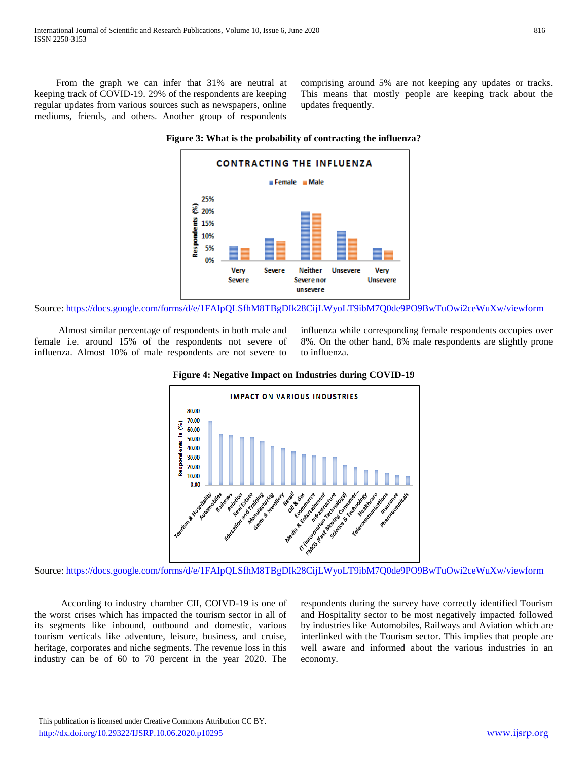From the graph we can infer that 31% are neutral at keeping track of COVID-19. 29% of the respondents are keeping regular updates from various sources such as newspapers, online mediums, friends, and others. Another group of respondents

comprising around 5% are not keeping any updates or tracks. This means that mostly people are keeping track about the updates frequently.





Source:<https://docs.google.com/forms/d/e/1FAIpQLSfhM8TBgDIk28CijLWyoLT9ibM7Q0de9PO9BwTuOwi2ceWuXw/viewform>

 Almost similar percentage of respondents in both male and female i.e. around 15% of the respondents not severe of influenza. Almost 10% of male respondents are not severe to influenza while corresponding female respondents occupies over 8%. On the other hand, 8% male respondents are slightly prone to influenza.



**Figure 4: Negative Impact on Industries during COVID-19**

Source:<https://docs.google.com/forms/d/e/1FAIpQLSfhM8TBgDIk28CijLWyoLT9ibM7Q0de9PO9BwTuOwi2ceWuXw/viewform>

 According to industry chamber CII, COIVD-19 is one of the worst crises which has impacted the tourism sector in all of its segments like inbound, outbound and domestic, various tourism verticals like adventure, leisure, business, and cruise, heritage, corporates and niche segments. The revenue loss in this industry can be of 60 to 70 percent in the year 2020. The respondents during the survey have correctly identified Tourism and Hospitality sector to be most negatively impacted followed by industries like Automobiles, Railways and Aviation which are interlinked with the Tourism sector. This implies that people are well aware and informed about the various industries in an economy.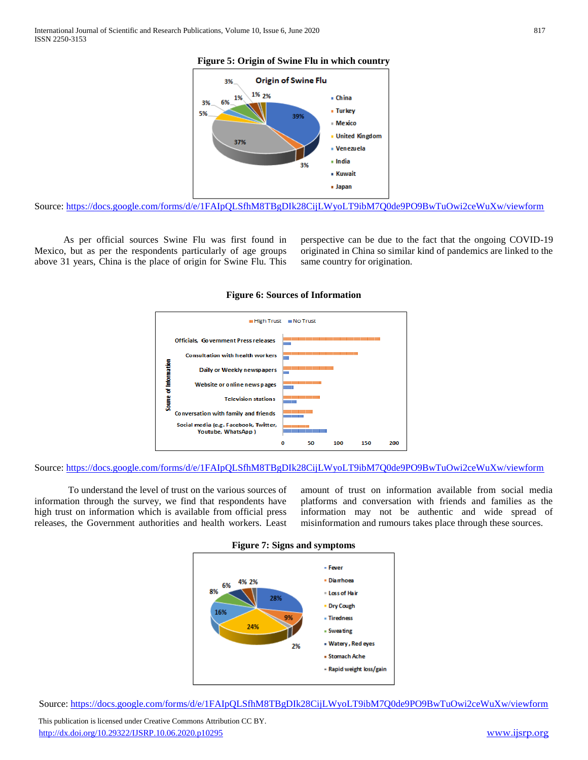#### **Figure 5: Origin of Swine Flu in which country**



Source:<https://docs.google.com/forms/d/e/1FAIpQLSfhM8TBgDIk28CijLWyoLT9ibM7Q0de9PO9BwTuOwi2ceWuXw/viewform>

 As per official sources Swine Flu was first found in Mexico, but as per the respondents particularly of age groups above 31 years, China is the place of origin for Swine Flu. This

perspective can be due to the fact that the ongoing COVID-19 originated in China so similar kind of pandemics are linked to the same country for origination.



#### **Figure 6: Sources of Information**



 To understand the level of trust on the various sources of information through the survey, we find that respondents have high trust on information which is available from official press releases, the Government authorities and health workers. Least

amount of trust on information available from social media platforms and conversation with friends and families as the information may not be authentic and wide spread of misinformation and rumours takes place through these sources.





Source[: https://docs.google.com/forms/d/e/1FAIpQLSfhM8TBgDIk28CijLWyoLT9ibM7Q0de9PO9BwTuOwi2ceWuXw/viewform](https://docs.google.com/forms/d/e/1FAIpQLSfhM8TBgDIk28CijLWyoLT9ibM7Q0de9PO9BwTuOwi2ceWuXw/viewform)

 This publication is licensed under Creative Commons Attribution CC BY. <http://dx.doi.org/10.29322/IJSRP.10.06.2020.p10295> [www.ijsrp.org](http://ijsrp.org/)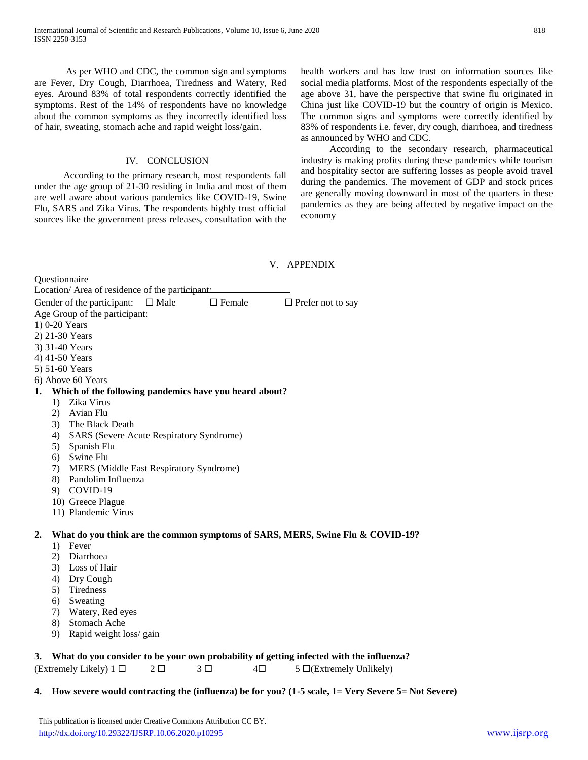As per WHO and CDC, the common sign and symptoms are Fever, Dry Cough, Diarrhoea, Tiredness and Watery, Red eyes. Around 83% of total respondents correctly identified the symptoms. Rest of the 14% of respondents have no knowledge about the common symptoms as they incorrectly identified loss of hair, sweating, stomach ache and rapid weight loss/gain.

#### IV. CONCLUSION

 According to the primary research, most respondents fall under the age group of 21-30 residing in India and most of them are well aware about various pandemics like COVID-19, Swine Flu, SARS and Zika Virus. The respondents highly trust official sources like the government press releases, consultation with the health workers and has low trust on information sources like social media platforms. Most of the respondents especially of the age above 31, have the perspective that swine flu originated in China just like COVID-19 but the country of origin is Mexico. The common signs and symptoms were correctly identified by 83% of respondents i.e. fever, dry cough, diarrhoea, and tiredness as announced by WHO and CDC.

 According to the secondary research, pharmaceutical industry is making profits during these pandemics while tourism and hospitality sector are suffering losses as people avoid travel during the pandemics. The movement of GDP and stock prices are generally moving downward in most of the quarters in these pandemics as they are being affected by negative impact on the economy

# V. APPENDIX

Questionnaire Location/ Area of residence of the participant:

Gender of the participant:  $\Box$  Male  $\Box$  Female  $\Box$  Prefer not to say Age Group of the participant:

- 1) 0-20 Years
- 2) 21-30 Years
- 3) 31-40 Years
- 4) 41-50 Years
- 5) 51-60 Years
- 6) Above 60 Years

#### **1. Which of the following pandemics have you heard about?**

- 1) Zika Virus
- 2) Avian Flu
- 3) The Black Death
- 4) SARS (Severe Acute Respiratory Syndrome)
- 5) Spanish Flu
- 6) Swine Flu
- 7) MERS (Middle East Respiratory Syndrome)
- 8) Pandolim Influenza
- 9) COVID-19
- 10) Greece Plague
- 11) Plandemic Virus

# **2. What do you think are the common symptoms of SARS, MERS, Swine Flu & COVID-19?**

- 1) Fever
- 2) Diarrhoea
- 3) Loss of Hair
- 4) Dry Cough
- 5) Tiredness
- 6) Sweating
- 7) Watery, Red eyes
- 8) Stomach Ache
- 9) Rapid weight loss/ gain

# **3. What do you consider to be your own probability of getting infected with the influenza?**

(Extremely Likely) 1  $\Box$  2  $\Box$  3  $\Box$  4 $\Box$  5  $\Box$ (Extremely Unlikely)

# **4. How severe would contracting the (influenza) be for you? (1-5 scale, 1= Very Severe 5= Not Severe)**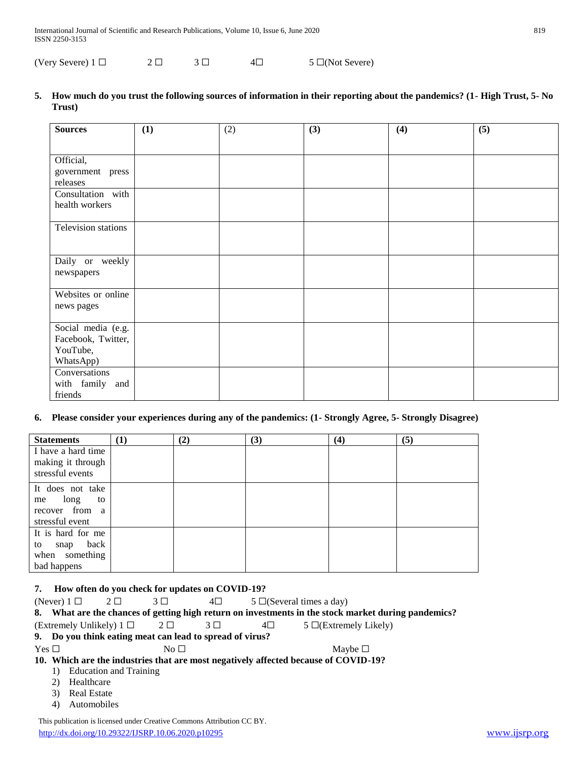(Very Severe)  $1 \Box$   $2 \Box$   $3 \Box$   $4 \Box$   $5 \Box$ (Not Severe)

**5. How much do you trust the following sources of information in their reporting about the pandemics? (1- High Trust, 5- No Trust)**

| <b>Sources</b>                                                    | (1) | (2) | (3) | (4) | (5) |
|-------------------------------------------------------------------|-----|-----|-----|-----|-----|
|                                                                   |     |     |     |     |     |
| Official,<br>government press<br>releases                         |     |     |     |     |     |
| Consultation with<br>health workers                               |     |     |     |     |     |
| Television stations                                               |     |     |     |     |     |
| Daily or weekly<br>newspapers                                     |     |     |     |     |     |
| Websites or online<br>news pages                                  |     |     |     |     |     |
| Social media (e.g.<br>Facebook, Twitter,<br>YouTube,<br>WhatsApp) |     |     |     |     |     |
| Conversations<br>with family and<br>friends                       |     |     |     |     |     |

# **6. Please consider your experiences during any of the pandemics: (1- Strongly Agree, 5- Strongly Disagree)**

| <b>Statements</b>                                                         | (1) | (2) | (3) | (4) | (5) |
|---------------------------------------------------------------------------|-----|-----|-----|-----|-----|
| I have a hard time<br>making it through<br>stressful events               |     |     |     |     |     |
| It does not take<br>long<br>to<br>me<br>recover from a<br>stressful event |     |     |     |     |     |
| It is hard for me<br>snap back<br>to<br>when something<br>bad happens     |     |     |     |     |     |

## **7. How often do you check for updates on COVID-19?**

|            |                                                                                     | (Never) $1 \Box 2 \Box$                                  | $3\square$ | $4\square$  |         | $5 \Box$ (Several times a day)                                                                      |  |  |
|------------|-------------------------------------------------------------------------------------|----------------------------------------------------------|------------|-------------|---------|-----------------------------------------------------------------------------------------------------|--|--|
|            |                                                                                     |                                                          |            |             |         | 8. What are the chances of getting high return on investments in the stock market during pandemics? |  |  |
|            |                                                                                     | (Extremely Unlikely) $1 \Box$ $2 \Box$                   |            | $3 \square$ | $4\Box$ | $5 \Box$ (Extremely Likely)                                                                         |  |  |
|            |                                                                                     | 9. Do you think eating meat can lead to spread of virus? |            |             |         |                                                                                                     |  |  |
| Yes $\Box$ |                                                                                     |                                                          | No $\Box$  |             |         | Maybe $\Box$                                                                                        |  |  |
|            | 10. Which are the industries that are most negatively affected because of COVID-19? |                                                          |            |             |         |                                                                                                     |  |  |
|            | $\mathbf{D}$                                                                        | Education and Training                                   |            |             |         |                                                                                                     |  |  |
|            | 2)                                                                                  | Healthcare                                               |            |             |         |                                                                                                     |  |  |

- 3) Real Estate
- 4) Automobiles